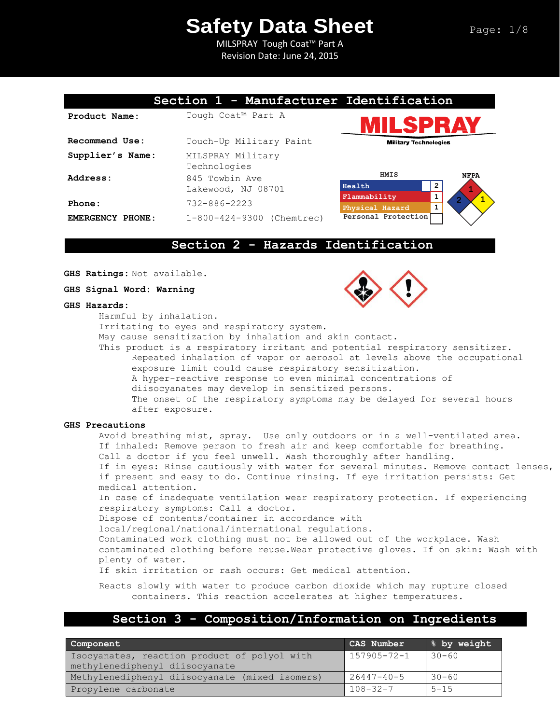# **Safety Data Sheet**

MILSPRAY Tough Coat™ Part A Revision Date: June 24, 2015

|                  | Section 1 - Manufacturer Identification |                                        |
|------------------|-----------------------------------------|----------------------------------------|
| Product Name:    | Tough Coat™ Part A                      | ILSPR/                                 |
| Recommend Use:   | Touch-Up Military Paint                 | <b>Military Technologies</b>           |
| Supplier's Name: | MILSPRAY Military<br>Technologies       |                                        |
| Address:         | 845 Towbin Ave                          | HMIS<br><b>NFPA</b>                    |
|                  | Lakewood, NJ 08701                      | $\overline{2}$<br>Health               |
| Phone:           | $732 - 886 - 2223$                      | 1<br>Flammability<br>$\mathbf{1}$      |
| EMERGENCY PHONE: | $1-800-424-9300$ (Chemtrec)             | Physical Hazard<br>Personal Protection |
|                  | Section 2 - Hazards Identification      |                                        |

**GHS Ratings:** Not available.

**GHS Signal Word: Warning**

#### **GHS Hazards:**

Harmful by inhalation.

Irritating to eyes and respiratory system.

May cause sensitization by inhalation and skin contact.

This product is a respiratory irritant and potential respiratory sensitizer. Repeated inhalation of vapor or aerosol at levels above the occupational exposure limit could cause respiratory sensitization. A hyper-reactive response to even minimal concentrations of diisocyanates may develop in sensitized persons. The onset of the respiratory symptoms may be delayed for several hours after exposure.

#### **GHS Precautions**

Avoid breathing mist, spray. Use only outdoors or in a well-ventilated area. If inhaled: Remove person to fresh air and keep comfortable for breathing. Call a doctor if you feel unwell. Wash thoroughly after handling. If in eyes: Rinse cautiously with water for several minutes. Remove contact lenses, if present and easy to do. Continue rinsing. If eye irritation persists: Get medical attention. In case of inadequate ventilation wear respiratory protection. If experiencing respiratory symptoms: Call a doctor.

Dispose of contents/container in accordance with

local/regional/national/international regulations.

Contaminated work clothing must not be allowed out of the workplace. Wash

contaminated clothing before reuse.Wear protective gloves. If on skin: Wash with plenty of water.

If skin irritation or rash occurs: Get medical attention.

Reacts slowly with water to produce carbon dioxide which may rupture closed containers. This reaction accelerates at higher temperatures.

### **Section 3 - Composition/Information on Ingredients**

| Component                                                                      | CAS Number        | 8 by weight |
|--------------------------------------------------------------------------------|-------------------|-------------|
| Isocyanates, reaction product of polyol with<br>methylenediphenyl diisocyanate | $157905 - 72 - 1$ | $30 - 60$   |
| Methylenediphenyl diisocyanate (mixed isomers)                                 | $26447 - 40 - 5$  | $30 - 60$   |
| Propylene carbonate                                                            | $108 - 32 - 7$    | $5 - 15$    |

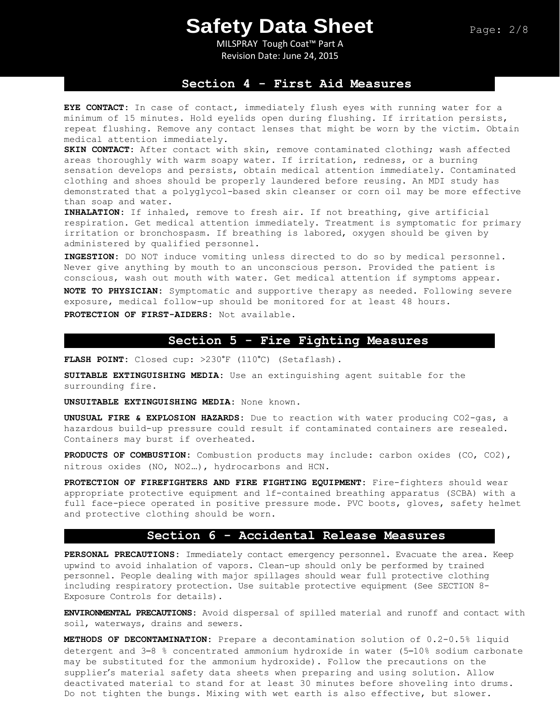MILSPRAY Tough Coat™ Part A Revision Date: June 24, 2015

### **Section 4 - First Aid Measures**

**EYE CONTACT:** In case of contact, immediately flush eyes with running water for a minimum of 15 minutes. Hold eyelids open during flushing. If irritation persists, repeat flushing. Remove any contact lenses that might be worn by the victim. Obtain medical attention immediately.

**SKIN CONTACT:** After contact with skin, remove contaminated clothing; wash affected areas thoroughly with warm soapy water. If irritation, redness, or a burning sensation develops and persists, obtain medical attention immediately. Contaminated clothing and shoes should be properly laundered before reusing. An MDI study has demonstrated that a polyglycol-based skin cleanser or corn oil may be more effective than soap and water.

**INHALATION:** If inhaled, remove to fresh air. If not breathing, give artificial respiration. Get medical attention immediately. Treatment is symptomatic for primary irritation or bronchospasm. If breathing is labored, oxygen should be given by administered by qualified personnel.

**INGESTION:** DO NOT induce vomiting unless directed to do so by medical personnel. Never give anything by mouth to an unconscious person. Provided the patient is conscious, wash out mouth with water. Get medical attention if symptoms appear.

**NOTE TO PHYSICIAN:** Symptomatic and supportive therapy as needed. Following severe exposure, medical follow-up should be monitored for at least 48 hours. **PROTECTION OF FIRST-AIDERS:** Not available.

### **Section 5 - Fire Fighting Measures**

**FLASH POINT:** Closed cup: >230°F (110°C) (Setaflash).

**SUITABLE EXTINGUISHING MEDIA:** Use an extinguishing agent suitable for the surrounding fire.

**UNSUITABLE EXTINGUISHING MEDIA:** None known.

**UNUSUAL FIRE & EXPLOSION HAZARDS:** Due to reaction with water producing CO2-gas, a hazardous build-up pressure could result if contaminated containers are resealed. Containers may burst if overheated.

**PRODUCTS OF COMBUSTION:** Combustion products may include: carbon oxides (CO, CO2), nitrous oxides (NO, NO2…), hydrocarbons and HCN.

**PROTECTION OF FIREFIGHTERS AND FIRE FIGHTING EQUIPMENT:** Fire-fighters should wear appropriate protective equipment and lf-contained breathing apparatus (SCBA) with a full face-piece operated in positive pressure mode. PVC boots, gloves, safety helmet and protective clothing should be worn.

### **Section 6 - Accidental Release Measures**

**PERSONAL PRECAUTIONS:** Immediately contact emergency personnel. Evacuate the area. Keep upwind to avoid inhalation of vapors. Clean-up should only be performed by trained personnel. People dealing with major spillages should wear full protective clothing including respiratory protection. Use suitable protective equipment (See SECTION 8- Exposure Controls for details).

**ENVIRONMENTAL PRECAUTIONS:** Avoid dispersal of spilled material and runoff and contact with soil, waterways, drains and sewers.

**METHODS OF DECONTAMINATION:** Prepare a decontamination solution of 0.2-0.5% liquid detergent and 3–8 % concentrated ammonium hydroxide in water (5–10% sodium carbonate may be substituted for the ammonium hydroxide). Follow the precautions on the supplier's material safety data sheets when preparing and using solution. Allow deactivated material to stand for at least 30 minutes before shoveling into drums. Do not tighten the bungs. Mixing with wet earth is also effective, but slower.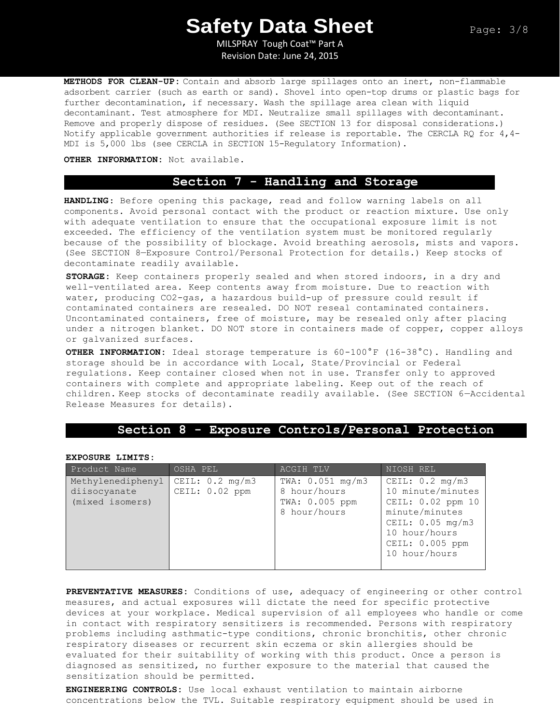MILSPRAY Tough Coat™ Part A Revision Date: June 24, 2015

**METHODS FOR CLEAN-UP:** Contain and absorb large spillages onto an inert, non-flammable adsorbent carrier (such as earth or sand). Shovel into open-top drums or plastic bags for further decontamination, if necessary. Wash the spillage area clean with liquid decontaminant. Test atmosphere for MDI. Neutralize small spillages with decontaminant. Remove and properly dispose of residues. (See SECTION 13 for disposal considerations.) Notify applicable government authorities if release is reportable. The CERCLA RQ for  $4,4-$ MDI is 5,000 lbs (see CERCLA in SECTION 15-Regulatory Information).

#### **OTHER INFORMATION:** Not available.

## **Section 7 - Handling and Storage**

**HANDLING**: Before opening this package, read and follow warning labels on all components. Avoid personal contact with the product or reaction mixture. Use only with adequate ventilation to ensure that the occupational exposure limit is not exceeded. The efficiency of the ventilation system must be monitored regularly because of the possibility of blockage. Avoid breathing aerosols, mists and vapors. (See SECTION 8—Exposure Control/Personal Protection for details.) Keep stocks of decontaminate readily available.

**STORAGE:** Keep containers properly sealed and when stored indoors, in a dry and well-ventilated area. Keep contents away from moisture. Due to reaction with water, producing CO2-gas, a hazardous build-up of pressure could result if contaminated containers are resealed. DO NOT reseal contaminated containers. Uncontaminated containers, free of moisture, may be resealed only after placing under a nitrogen blanket. DO NOT store in containers made of copper, copper alloys or galvanized surfaces.

**OTHER INFORMATION:** Ideal storage temperature is 60-100°F (16-38°C). Handling and storage should be in accordance with Local, State/Provincial or Federal regulations. Keep container closed when not in use. Transfer only to approved containers with complete and appropriate labeling. Keep out of the reach of children. Keep stocks of decontaminate readily available. (See SECTION 6—Accidental Release Measures for details).

### **Section 8 - Exposure Controls/Personal Protection**

**EXPOSURE LIMITS:** 

| Product Name                                         | OSHA PEL                                    | ACGIH TLV                                                            | NIOSH REL                                                                                                                                                                |
|------------------------------------------------------|---------------------------------------------|----------------------------------------------------------------------|--------------------------------------------------------------------------------------------------------------------------------------------------------------------------|
| Methylenediphenyl<br>diisocyanate<br>(mixed isomers) | CEIL: $0.2 \text{ mg/m3}$<br>CEIL: 0.02 ppm | TWA: $0.051$ mg/m3<br>8 hour/hours<br>TWA: 0.005 ppm<br>8 hour/hours | CEIL: $0.2 \text{ mg/m3}$<br>10 minute/minutes<br>CEIL: 0.02 ppm 10<br>minute/minutes<br>CEIL: $0.05 \text{ mg/m3}$<br>10 hour/hours<br>CEIL: 0.005 ppm<br>10 hour/hours |

**PREVENTATIVE MEASURES:** Conditions of use, adequacy of engineering or other control measures, and actual exposures will dictate the need for specific protective devices at your workplace. Medical supervision of all employees who handle or come in contact with respiratory sensitizers is recommended. Persons with respiratory problems including asthmatic-type conditions, chronic bronchitis, other chronic respiratory diseases or recurrent skin eczema or skin allergies should be evaluated for their suitability of working with this product. Once a person is diagnosed as sensitized, no further exposure to the material that caused the sensitization should be permitted.

**ENGINEERING CONTROLS:** Use local exhaust ventilation to maintain airborne concentrations below the TVL. Suitable respiratory equipment should be used in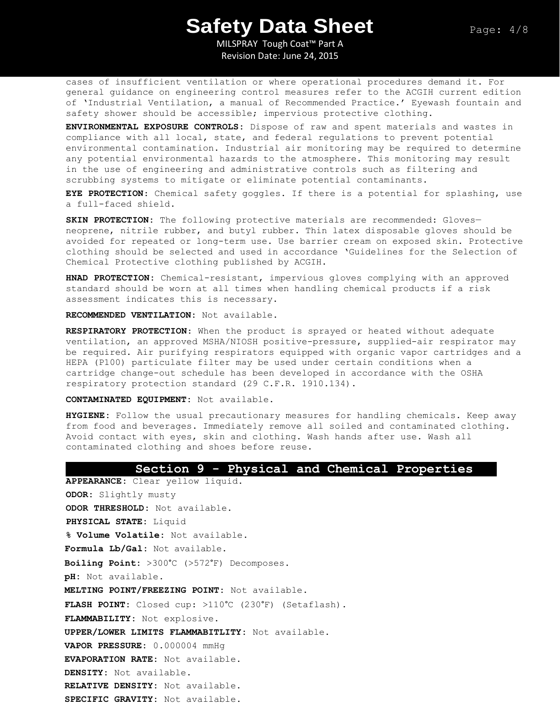MILSPRAY Tough Coat™ Part A Revision Date: June 24, 2015

cases of insufficient ventilation or where operational procedures demand it. For general guidance on engineering control measures refer to the ACGIH current edition of 'Industrial Ventilation, a manual of Recommended Practice.' Eyewash fountain and safety shower should be accessible; impervious protective clothing.

**ENVIRONMENTAL EXPOSURE CONTROLS:** Dispose of raw and spent materials and wastes in compliance with all local, state, and federal regulations to prevent potential environmental contamination. Industrial air monitoring may be required to determine any potential environmental hazards to the atmosphere. This monitoring may result in the use of engineering and administrative controls such as filtering and scrubbing systems to mitigate or eliminate potential contaminants.

**EYE PROTECTION**: Chemical safety goggles. If there is a potential for splashing, use a full-faced shield.

**SKIN PROTECTION:** The following protective materials are recommended: Gloves neoprene, nitrile rubber, and butyl rubber. Thin latex disposable gloves should be avoided for repeated or long-term use. Use barrier cream on exposed skin. Protective clothing should be selected and used in accordance 'Guidelines for the Selection of Chemical Protective clothing published by ACGIH.

**HNAD PROTECTION:** Chemical-resistant, impervious gloves complying with an approved standard should be worn at all times when handling chemical products if a risk assessment indicates this is necessary.

**RECOMMENDED VENTILATION:** Not available.

**RESPIRATORY PROTECTION**: When the product is sprayed or heated without adequate ventilation, an approved MSHA/NIOSH positive-pressure, supplied-air respirator may be required. Air purifying respirators equipped with organic vapor cartridges and a HEPA (P100) particulate filter may be used under certain conditions when a cartridge change-out schedule has been developed in accordance with the OSHA respiratory protection standard (29 C.F.R. 1910.134).

**CONTAMINATED EQUIPMENT:** Not available.

**HYGIENE:** Follow the usual precautionary measures for handling chemicals. Keep away from food and beverages. Immediately remove all soiled and contaminated clothing. Avoid contact with eyes, skin and clothing. Wash hands after use. Wash all contaminated clothing and shoes before reuse.

#### **Section 9 - Physical and Chemical Properties**

**APPEARANCE:** Clear yellow liquid. **ODOR:** Slightly musty **ODOR THRESHOLD:** Not available. **PHYSICAL STATE:** Liquid **% Volume Volatile:** Not available. **Formula Lb/Gal:** Not available. **Boiling Point:** >300°C (>572°F) Decomposes. **pH:** Not available. **MELTING POINT/FREEZING POINT:** Not available. **FLASH POINT:** Closed cup: >110°C (230°F) (Setaflash). **FLAMMABILITY:** Not explosive. **UPPER/LOWER LIMITS FLAMMABITLITY:** Not available. **VAPOR PRESSURE:** 0.000004 mmHg **EVAPORATION RATE:** Not available. **DENSITY:** Not available. **RELATIVE DENSITY:** Not available. **SPECIFIC GRAVITY:** Not available.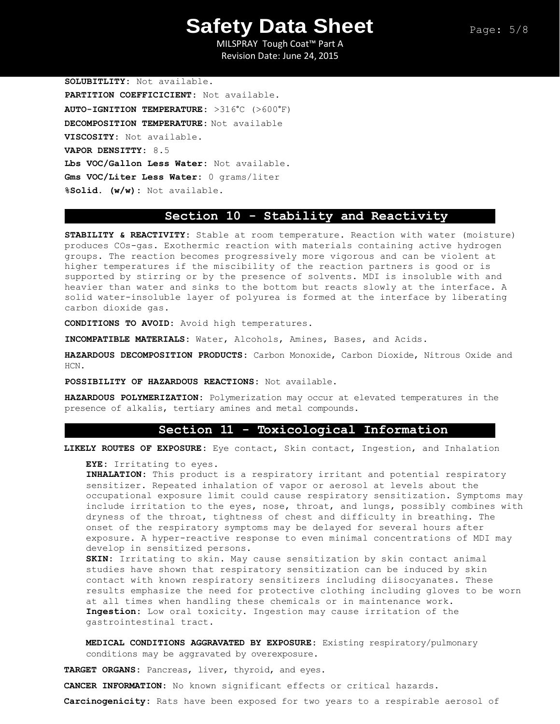MILSPRAY Tough Coat™ Part A Revision Date: June 24, 2015

**SOLUBITLITY:** Not available. **PARTITION COEFFICICIENT:** Not available. **AUTO-IGNITION TEMPERATURE:** >316°C (>600°F) **DECOMPOSITION TEMPERATURE:** Not available **VISCOSITY:** Not available. **VAPOR DENSITTY:** 8.5 **Lbs VOC/Gallon Less Water:** Not available. **Gms VOC/Liter Less Water:** 0 grams/liter **%Solid. (w/w):** Not available.

### **Section 10 - Stability and Reactivity**

**STABILITY & REACTIVITY:** Stable at room temperature. Reaction with water (moisture) produces COs-gas. Exothermic reaction with materials containing active hydrogen groups. The reaction becomes progressively more vigorous and can be violent at higher temperatures if the miscibility of the reaction partners is good or is supported by stirring or by the presence of solvents. MDI is insoluble with and heavier than water and sinks to the bottom but reacts slowly at the interface. A solid water-insoluble layer of polyurea is formed at the interface by liberating carbon dioxide gas.

**CONDITIONS TO AVOID:** Avoid high temperatures.

**INCOMPATIBLE MATERIALS:** Water, Alcohols, Amines, Bases, and Acids.

**HAZARDOUS DECOMPOSITION PRODUCTS:** Carbon Monoxide, Carbon Dioxide, Nitrous Oxide and HCN.

**POSSIBILITY OF HAZARDOUS REACTIONS:** Not available.

**HAZARDOUS POLYMERIZATION:** Polymerization may occur at elevated temperatures in the presence of alkalis, tertiary amines and metal compounds.

### **Section 11 - Toxicological Information**

**LIKELY ROUTES OF EXPOSURE:** Eye contact, Skin contact, Ingestion, and Inhalation

**EYE:** Irritating to eyes.

**INHALATION:** This product is a respiratory irritant and potential respiratory sensitizer. Repeated inhalation of vapor or aerosol at levels about the occupational exposure limit could cause respiratory sensitization. Symptoms may include irritation to the eyes, nose, throat, and lungs, possibly combines with dryness of the throat, tightness of chest and difficulty in breathing. The onset of the respiratory symptoms may be delayed for several hours after exposure. A hyper-reactive response to even minimal concentrations of MDI may develop in sensitized persons.

**SKIN:** Irritating to skin. May cause sensitization by skin contact animal studies have shown that respiratory sensitization can be induced by skin contact with known respiratory sensitizers including diisocyanates. These results emphasize the need for protective clothing including gloves to be worn at all times when handling these chemicals or in maintenance work. **Ingestion:** Low oral toxicity. Ingestion may cause irritation of the gastrointestinal tract.

**MEDICAL CONDITIONS AGGRAVATED BY EXPOSURE:** Existing respiratory/pulmonary conditions may be aggravated by overexposure.

**TARGET ORGANS:** Pancreas, liver, thyroid, and eyes.

**CANCER INFORMATION:** No known significant effects or critical hazards.

**Carcinogenicity:** Rats have been exposed for two years to a respirable aerosol of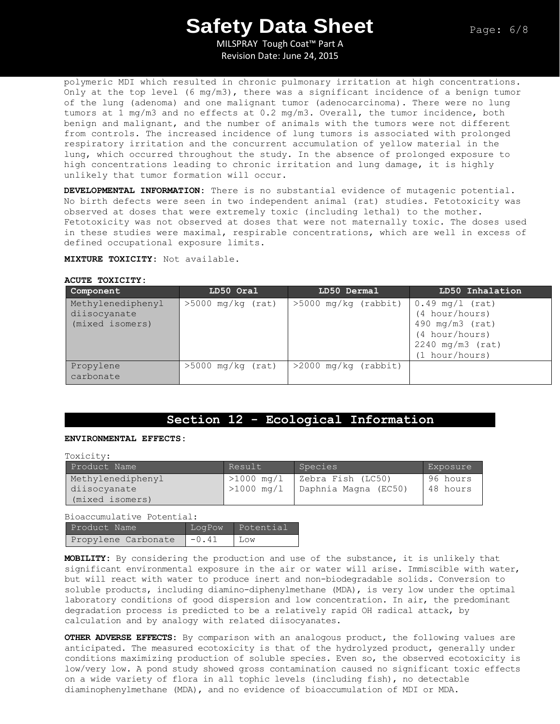MILSPRAY Tough Coat™ Part A Revision Date: June 24, 2015

polymeric MDI which resulted in chronic pulmonary irritation at high concentrations. Only at the top level (6 mg/m3), there was a significant incidence of a benign tumor of the lung (adenoma) and one malignant tumor (adenocarcinoma). There were no lung tumors at 1 mg/m3 and no effects at 0.2 mg/m3. Overall, the tumor incidence, both benign and malignant, and the number of animals with the tumors were not different from controls. The increased incidence of lung tumors is associated with prolonged respiratory irritation and the concurrent accumulation of yellow material in the lung, which occurred throughout the study. In the absence of prolonged exposure to high concentrations leading to chronic irritation and lung damage, it is highly unlikely that tumor formation will occur.

**DEVELOPMENTAL INFORMATION:** There is no substantial evidence of mutagenic potential. No birth defects were seen in two independent animal (rat) studies. Fetotoxicity was observed at doses that were extremely toxic (including lethal) to the mother. Fetotoxicity was not observed at doses that were not maternally toxic. The doses used in these studies were maximal, respirable concentrations, which are well in excess of defined occupational exposure limits.

**MIXTURE TOXICITY:** Not available.

#### **ACUTE TOXICITY:**

| Component                                            | LD50 Oral           | LD50 Dermal            | LD50 Inhalation                                                                                                    |
|------------------------------------------------------|---------------------|------------------------|--------------------------------------------------------------------------------------------------------------------|
| Methylenediphenyl<br>diisocyanate<br>(mixed isomers) | $>5000$ mg/kg (rat) | $>5000$ mg/kg (rabbit) | $0.49$ mg/l (rat)<br>(4 hour/hours)<br>490 $mq/m3$ (rat)<br>(4 hour/hours)<br>$2240$ mg/m3 (rat)<br>(1 hour/hours) |
| Propylene<br>carbonate                               | $>5000$ mg/kg (rat) | $>2000$ mg/kg (rabbit) |                                                                                                                    |

### **Section 12 - Ecological Information**

#### **ENVIRONMENTAL EFFECTS:**

Toxicity:

| Product Name                      | Result                  | Species                                                  | Exposure             |
|-----------------------------------|-------------------------|----------------------------------------------------------|----------------------|
| Methylenediphenyl<br>diisocyanate | $>1000 \,\mathrm{mg}/1$ | $>1000$ mg/l   Zebra Fish (LC50)<br>Daphnia Magna (EC50) | 96 hours<br>48 hours |
| (mixed isomers)                   |                         |                                                          |                      |

Bioaccumulative Potential:

| Product Name        | LogPow  | ' Potential |
|---------------------|---------|-------------|
| Propylene Carbonate | $-0.41$ | Low         |

**MOBILITY:** By considering the production and use of the substance, it is unlikely that significant environmental exposure in the air or water will arise. Immiscible with water, but will react with water to produce inert and non-biodegradable solids. Conversion to soluble products, including diamino-diphenylmethane (MDA), is very low under the optimal laboratory conditions of good dispersion and low concentration. In air, the predominant degradation process is predicted to be a relatively rapid OH radical attack, by calculation and by analogy with related diisocyanates.

**OTHER ADVERSE EFFECTS:** By comparison with an analogous product, the following values are anticipated. The measured ecotoxicity is that of the hydrolyzed product, generally under conditions maximizing production of soluble species. Even so, the observed ecotoxicity is low/very low. A pond study showed gross contamination caused no significant toxic effects on a wide variety of flora in all tophic levels (including fish), no detectable diaminophenylmethane (MDA), and no evidence of bioaccumulation of MDI or MDA.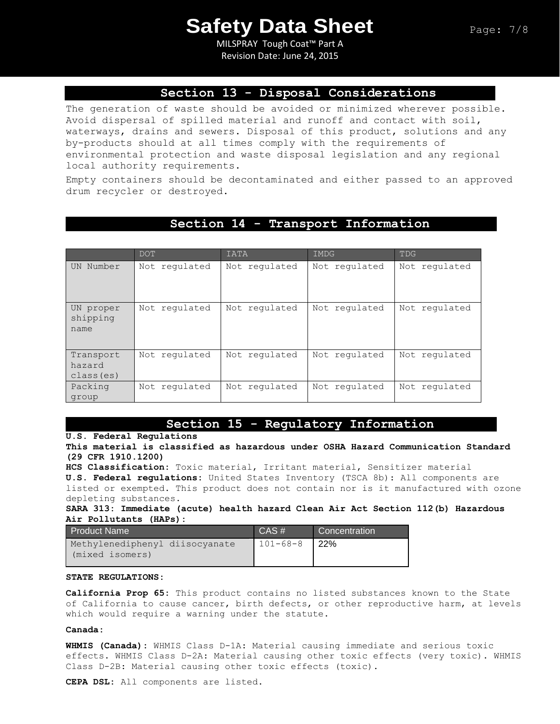MILSPRAY Tough Coat™ Part A Revision Date: June 24, 2015

### **Section 13 - Disposal Considerations**

The generation of waste should be avoided or minimized wherever possible. Avoid dispersal of spilled material and runoff and contact with soil, waterways, drains and sewers. Disposal of this product, solutions and any by-products should at all times comply with the requirements of environmental protection and waste disposal legislation and any regional local authority requirements.

Empty containers should be decontaminated and either passed to an approved drum recycler or destroyed.

### **Section 14 - Transport Information**

|                                   | DOT           | IATA          | IMDG          | <b>TDG</b>    |
|-----------------------------------|---------------|---------------|---------------|---------------|
| UN Number                         | Not requlated | Not regulated | Not requlated | Not regulated |
| UN proper<br>shipping<br>name     | Not requlated | Not regulated | Not regulated | Not regulated |
| Transport<br>hazard<br>class (es) | Not regulated | Not regulated | Not regulated | Not regulated |
| Packing<br>group                  | Not regulated | Not regulated | Not requlated | Not regulated |

### **Section 15 - Regulatory Information**

**U.S. Federal Regulations**

**This material is classified as hazardous under OSHA Hazard Communication Standard (29 CFR 1910.1200)**

**HCS Classification:** Toxic material, Irritant material, Sensitizer material **U.S. Federal regulations:** United States Inventory (TSCA 8b): All components are listed or exempted. This product does not contain nor is it manufactured with ozone depleting substances.

**SARA 313: Immediate (acute) health hazard Clean Air Act Section 112(b) Hazardous Air Pollutants (HAPs):** 

| <b>Product Name</b>                               | CAS#           | Concentration |
|---------------------------------------------------|----------------|---------------|
| Methylenediphenyl diisocyanate<br>(mixed isomers) | $101 - 68 - 8$ | <b>22%</b>    |

#### **STATE REGULATIONS:**

**California Prop 65:** This product contains no listed substances known to the State of California to cause cancer, birth defects, or other reproductive harm, at levels which would require a warning under the statute.

#### **Canada:**

**WHMIS (Canada):** WHMIS Class D-1A: Material causing immediate and serious toxic effects. WHMIS Class D-2A: Material causing other toxic effects (very toxic). WHMIS Class D-2B: Material causing other toxic effects (toxic).

**CEPA DSL:** All components are listed.